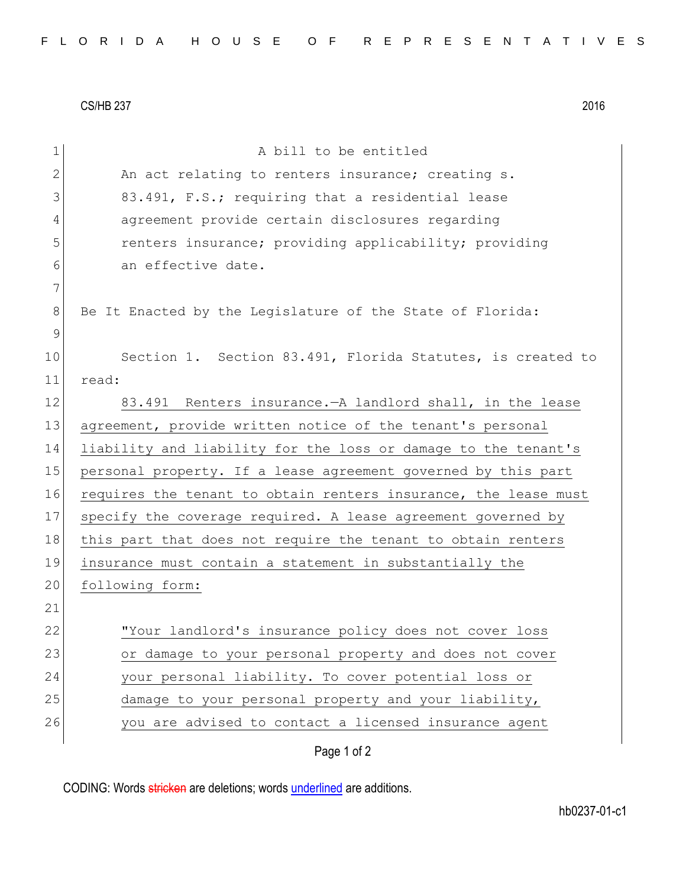CS/HB 237 2016

| $\mathbf 1$  | A bill to be entitled                                           |
|--------------|-----------------------------------------------------------------|
| $\mathbf{2}$ | An act relating to renters insurance; creating s.               |
| 3            | 83.491, F.S.; requiring that a residential lease                |
| 4            | agreement provide certain disclosures regarding                 |
| 5            | renters insurance; providing applicability; providing           |
| 6            | an effective date.                                              |
| 7            |                                                                 |
| 8            | Be It Enacted by the Legislature of the State of Florida:       |
| $\mathsf 9$  |                                                                 |
| 10           | Section 1. Section 83.491, Florida Statutes, is created to      |
| 11           | read:                                                           |
| 12           | 83.491 Renters insurance. - A landlord shall, in the lease      |
| 13           | agreement, provide written notice of the tenant's personal      |
| 14           | liability and liability for the loss or damage to the tenant's  |
| 15           | personal property. If a lease agreement governed by this part   |
| 16           | requires the tenant to obtain renters insurance, the lease must |
| 17           | specify the coverage required. A lease agreement governed by    |
| 18           | this part that does not require the tenant to obtain renters    |
| 19           | insurance must contain a statement in substantially the         |
| 20           | following form:                                                 |
| 21           |                                                                 |
| 22           | "Your landlord's insurance policy does not cover loss           |
| 23           | or damage to your personal property and does not cover          |
| 24           | your personal liability. To cover potential loss or             |
| 25           | damage to your personal property and your liability,            |
| 26           | you are advised to contact a licensed insurance agent           |
|              | Page 1 of 2                                                     |

CODING: Words stricken are deletions; words underlined are additions.